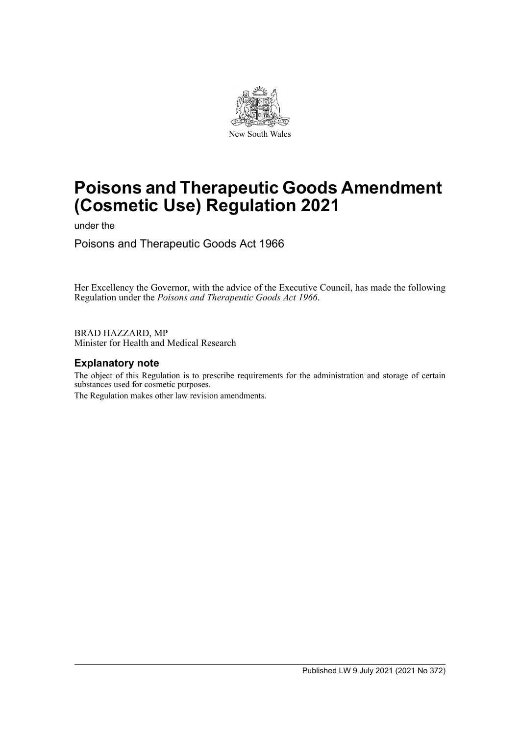

# **Poisons and Therapeutic Goods Amendment (Cosmetic Use) Regulation 2021**

under the

Poisons and Therapeutic Goods Act 1966

Her Excellency the Governor, with the advice of the Executive Council, has made the following Regulation under the *Poisons and Therapeutic Goods Act 1966*.

BRAD HAZZARD, MP Minister for Health and Medical Research

## **Explanatory note**

The object of this Regulation is to prescribe requirements for the administration and storage of certain substances used for cosmetic purposes.

The Regulation makes other law revision amendments.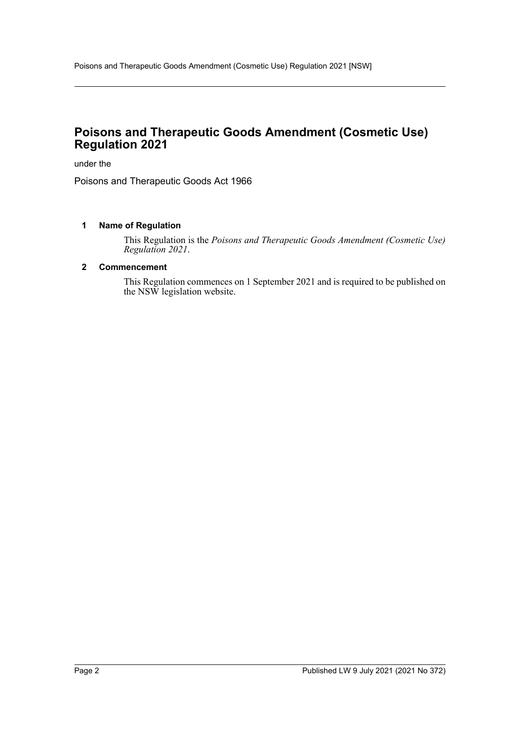# **Poisons and Therapeutic Goods Amendment (Cosmetic Use) Regulation 2021**

under the

Poisons and Therapeutic Goods Act 1966

#### **1 Name of Regulation**

This Regulation is the *Poisons and Therapeutic Goods Amendment (Cosmetic Use) Regulation 2021*.

#### **2 Commencement**

This Regulation commences on 1 September 2021 and is required to be published on the NSW legislation website.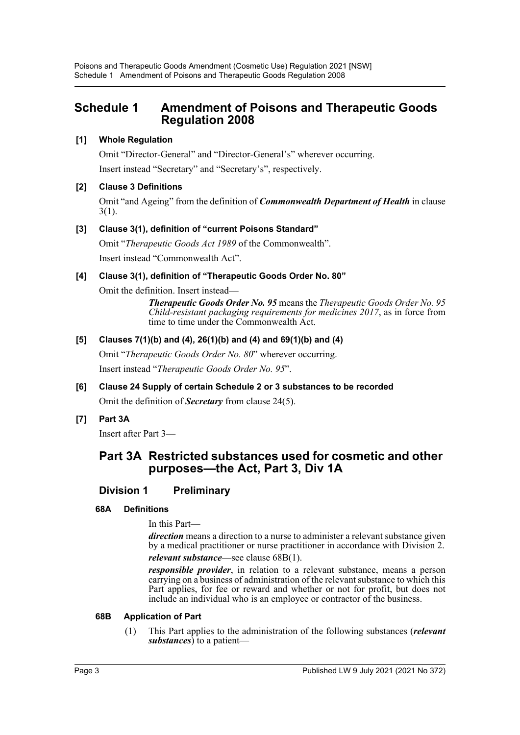# **Schedule 1 Amendment of Poisons and Therapeutic Goods Regulation 2008**

## **[1] Whole Regulation**

Omit "Director-General" and "Director-General's" wherever occurring. Insert instead "Secretary" and "Secretary's", respectively.

## **[2] Clause 3 Definitions**

Omit "and Ageing" from the definition of *Commonwealth Department of Health* in clause 3(1).

## **[3] Clause 3(1), definition of "current Poisons Standard"**

Omit "*Therapeutic Goods Act 1989* of the Commonwealth". Insert instead "Commonwealth Act".

### **[4] Clause 3(1), definition of "Therapeutic Goods Order No. 80"**

Omit the definition. Insert instead—

*Therapeutic Goods Order No. 95* means the *Therapeutic Goods Order No. 95 Child-resistant packaging requirements for medicines 2017*, as in force from time to time under the Commonwealth Act.

## **[5] Clauses 7(1)(b) and (4), 26(1)(b) and (4) and 69(1)(b) and (4)**

Omit "*Therapeutic Goods Order No. 80*" wherever occurring.

Insert instead "*Therapeutic Goods Order No. 95*".

# **[6] Clause 24 Supply of certain Schedule 2 or 3 substances to be recorded**

Omit the definition of *Secretary* from clause 24(5).

## **[7] Part 3A**

Insert after Part 3—

## **Part 3A Restricted substances used for cosmetic and other purposes—the Act, Part 3, Div 1A**

## **Division 1 Preliminary**

#### **68A Definitions**

In this Part—

*direction* means a direction to a nurse to administer a relevant substance given by a medical practitioner or nurse practitioner in accordance with Division 2. *relevant substance*—see clause 68B(1).

*responsible provider*, in relation to a relevant substance, means a person carrying on a business of administration of the relevant substance to which this Part applies, for fee or reward and whether or not for profit, but does not include an individual who is an employee or contractor of the business.

#### **68B Application of Part**

(1) This Part applies to the administration of the following substances (*relevant substances*) to a patient—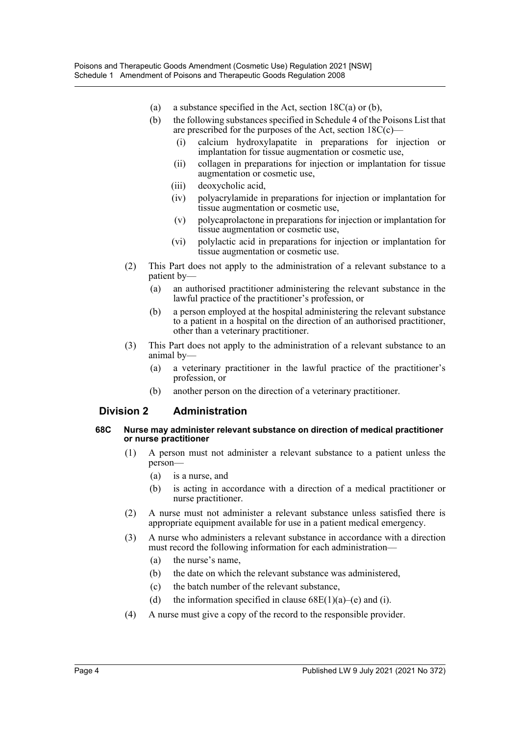- (a) a substance specified in the Act, section  $18C(a)$  or (b),
- (b) the following substances specified in Schedule 4 of the Poisons List that are prescribed for the purposes of the Act, section  $18C(c)$ —
	- (i) calcium hydroxylapatite in preparations for injection or implantation for tissue augmentation or cosmetic use,
	- (ii) collagen in preparations for injection or implantation for tissue augmentation or cosmetic use,
	- (iii) deoxycholic acid,
	- (iv) polyacrylamide in preparations for injection or implantation for tissue augmentation or cosmetic use,
	- (v) polycaprolactone in preparations for injection or implantation for tissue augmentation or cosmetic use,
	- (vi) polylactic acid in preparations for injection or implantation for tissue augmentation or cosmetic use.
- (2) This Part does not apply to the administration of a relevant substance to a patient by—
	- (a) an authorised practitioner administering the relevant substance in the lawful practice of the practitioner's profession, or
	- (b) a person employed at the hospital administering the relevant substance to a patient in a hospital on the direction of an authorised practitioner, other than a veterinary practitioner.
- (3) This Part does not apply to the administration of a relevant substance to an animal by—
	- (a) a veterinary practitioner in the lawful practice of the practitioner's profession, or
	- (b) another person on the direction of a veterinary practitioner.

#### **Division 2 Administration**

#### **68C Nurse may administer relevant substance on direction of medical practitioner or nurse practitioner**

- (1) A person must not administer a relevant substance to a patient unless the person—
	- (a) is a nurse, and
	- (b) is acting in accordance with a direction of a medical practitioner or nurse practitioner.
- (2) A nurse must not administer a relevant substance unless satisfied there is appropriate equipment available for use in a patient medical emergency.
- (3) A nurse who administers a relevant substance in accordance with a direction must record the following information for each administration—
	- (a) the nurse's name,
	- (b) the date on which the relevant substance was administered,
	- (c) the batch number of the relevant substance,
	- (d) the information specified in clause  $68E(1)(a)$ –(e) and (i).
- (4) A nurse must give a copy of the record to the responsible provider.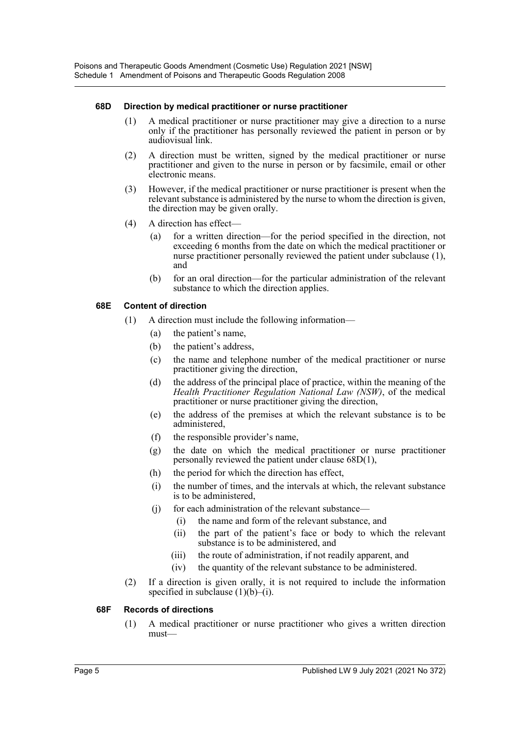#### **68D Direction by medical practitioner or nurse practitioner**

- (1) A medical practitioner or nurse practitioner may give a direction to a nurse only if the practitioner has personally reviewed the patient in person or by audiovisual link.
- (2) A direction must be written, signed by the medical practitioner or nurse practitioner and given to the nurse in person or by facsimile, email or other electronic means.
- (3) However, if the medical practitioner or nurse practitioner is present when the relevant substance is administered by the nurse to whom the direction is given, the direction may be given orally.
- (4) A direction has effect—
	- (a) for a written direction—for the period specified in the direction, not exceeding 6 months from the date on which the medical practitioner or nurse practitioner personally reviewed the patient under subclause (1), and
	- (b) for an oral direction—for the particular administration of the relevant substance to which the direction applies.

#### **68E Content of direction**

- (1) A direction must include the following information—
	- (a) the patient's name,
	- (b) the patient's address,
	- (c) the name and telephone number of the medical practitioner or nurse practitioner giving the direction,
	- (d) the address of the principal place of practice, within the meaning of the *Health Practitioner Regulation National Law (NSW)*, of the medical practitioner or nurse practitioner giving the direction,
	- (e) the address of the premises at which the relevant substance is to be administered,
	- (f) the responsible provider's name,
	- (g) the date on which the medical practitioner or nurse practitioner personally reviewed the patient under clause 68D(1),
	- (h) the period for which the direction has effect,
	- (i) the number of times, and the intervals at which, the relevant substance is to be administered,
	- (j) for each administration of the relevant substance—
		- (i) the name and form of the relevant substance, and
		- (ii) the part of the patient's face or body to which the relevant substance is to be administered, and
		- (iii) the route of administration, if not readily apparent, and
		- (iv) the quantity of the relevant substance to be administered.
- (2) If a direction is given orally, it is not required to include the information specified in subclause  $(1)(b)$ –(i).

#### **68F Records of directions**

(1) A medical practitioner or nurse practitioner who gives a written direction must—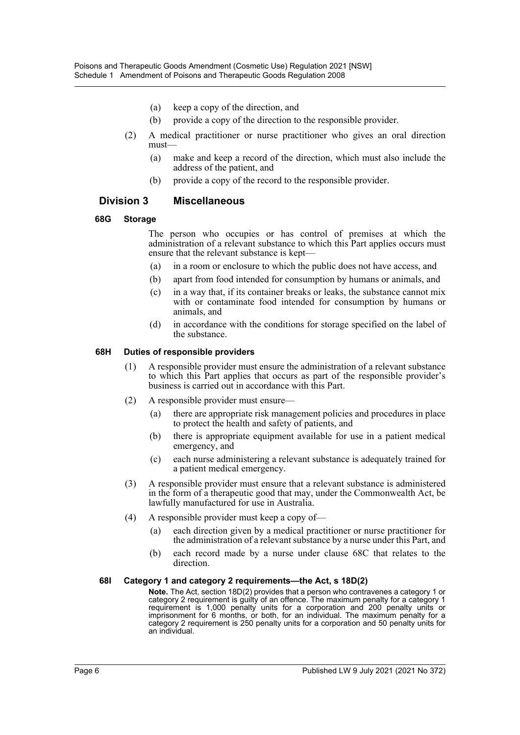- (a) keep a copy of the direction, and
- (b) provide a copy of the direction to the responsible provider.
- (2) A medical practitioner or nurse practitioner who gives an oral direction must—
	- (a) make and keep a record of the direction, which must also include the address of the patient, and
	- (b) provide a copy of the record to the responsible provider.

### **Division 3 Miscellaneous**

#### **68G Storage**

The person who occupies or has control of premises at which the administration of a relevant substance to which this Part applies occurs must ensure that the relevant substance is kept—

- (a) in a room or enclosure to which the public does not have access, and
- (b) apart from food intended for consumption by humans or animals, and
- (c) in a way that, if its container breaks or leaks, the substance cannot mix with or contaminate food intended for consumption by humans or animals, and
- (d) in accordance with the conditions for storage specified on the label of the substance.

#### **68H Duties of responsible providers**

- (1) A responsible provider must ensure the administration of a relevant substance to which this Part applies that occurs as part of the responsible provider's business is carried out in accordance with this Part.
- (2) A responsible provider must ensure—
	- (a) there are appropriate risk management policies and procedures in place to protect the health and safety of patients, and
	- (b) there is appropriate equipment available for use in a patient medical emergency, and
	- (c) each nurse administering a relevant substance is adequately trained for a patient medical emergency.
- (3) A responsible provider must ensure that a relevant substance is administered in the form of a therapeutic good that may, under the Commonwealth Act, be lawfully manufactured for use in Australia.
- (4) A responsible provider must keep a copy of—
	- (a) each direction given by a medical practitioner or nurse practitioner for the administration of a relevant substance by a nurse under this Part, and
	- (b) each record made by a nurse under clause 68C that relates to the direction.

#### **68I Category 1 and category 2 requirements—the Act, s 18D(2)**

**Note.** The Act, section 18D(2) provides that a person who contravenes a category 1 or category 2 requirement is guilty of an offence. The maximum penalty for a category 1 requirement is 1,000 penalty units for a corporation and 200 penalty units or imprisonment for 6 months, or both, for an individual. The maximum penalty for a category 2 requirement is 250 penalty units for a corporation and 50 penalty units for an individual.